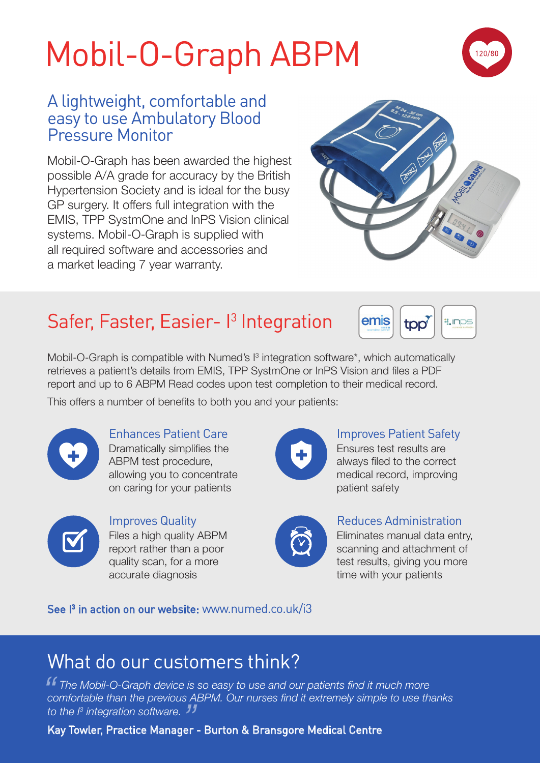# Mobil-O-Graph ABPM



### A lightweight, comfortable and easy to use Ambulatory Blood Pressure Monitor

Mobil-O-Graph has been awarded the highest possible A/A grade for accuracy by the British Hypertension Society and is ideal for the busy GP surgery. It offers full integration with the EMIS, TPP SystmOne and InPS Vision clinical systems. Mobil-O-Graph is supplied with all required software and accessories and a market leading 7 year warranty.



## Safer, Faster, Easier-<sup>1</sup> Integration



Mobil-O-Graph is compatible with Numed's  $I<sup>3</sup>$  integration software\*, which automatically retrieves a patient's details from EMIS, TPP SystmOne or InPS Vision and files a PDF report and up to 6 ABPM Read codes upon test completion to their medical record.

This offers a number of benefits to both you and your patients:



Enhances Patient Care Dramatically simplifies the ABPM test procedure, allowing you to concentrate on caring for your patients



Improves Quality Files a high quality ABPM report rather than a poor quality scan, for a more accurate diagnosis



Improves Patient Safety

Ensures test results are always filed to the correct medical record, improving patient safety



#### Reduces Administration

Eliminates manual data entry, scanning and attachment of test results, giving you more time with your patients

See I<sup>3</sup> in action on our website: www.numed.co.uk/i3

### What do our customers think?

**f** The Mobil-O-Graph device is so easy to use and our patients find it much more comfortable than the previous ABPM. Our nurses find it extremely simple to use the *comfortable than the previous ABPM. Our nurses find it extremely simple to use thanks to the I3 integration software.* Kay Towler, Practice Manager - Burton & Bransgore Medical Centre *"*